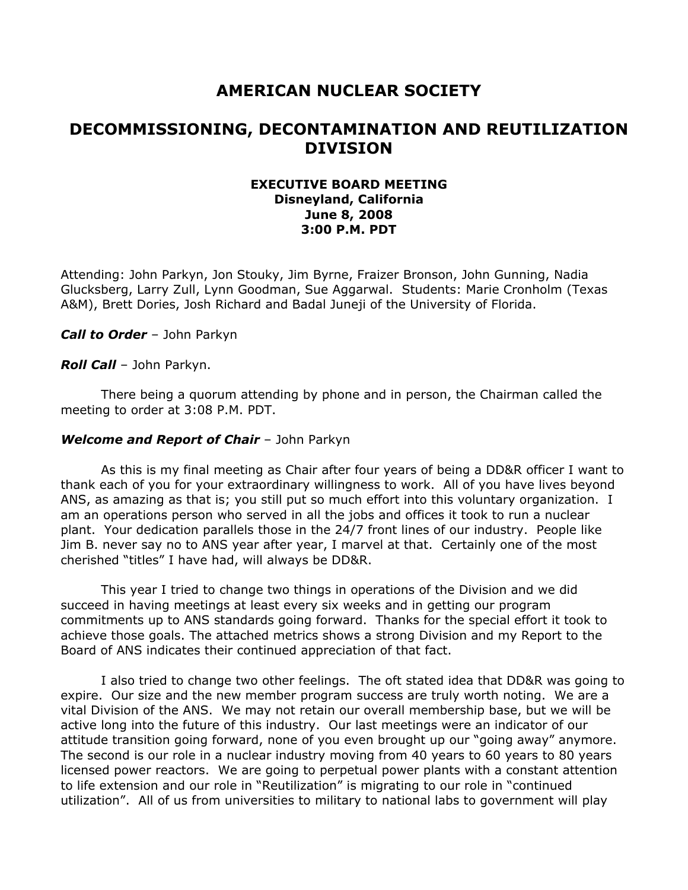# **AMERICAN NUCLEAR SOCIETY**

# **DECOMMISSIONING, DECONTAMINATION AND REUTILIZATION DIVISION**

## **EXECUTIVE BOARD MEETING Disneyland, California June 8, 2008 3:00 P.M. PDT**

Attending: John Parkyn, Jon Stouky, Jim Byrne, Fraizer Bronson, John Gunning, Nadia Glucksberg, Larry Zull, Lynn Goodman, Sue Aggarwal. Students: Marie Cronholm (Texas A&M), Brett Dories, Josh Richard and Badal Juneji of the University of Florida.

*Call to Order* – John Parkyn

*Roll Call* – John Parkyn.

There being a quorum attending by phone and in person, the Chairman called the meeting to order at 3:08 P.M. PDT.

#### *Welcome and Report of Chair* – John Parkyn

As this is my final meeting as Chair after four years of being a DD&R officer I want to thank each of you for your extraordinary willingness to work. All of you have lives beyond ANS, as amazing as that is; you still put so much effort into this voluntary organization. I am an operations person who served in all the jobs and offices it took to run a nuclear plant. Your dedication parallels those in the 24/7 front lines of our industry. People like Jim B. never say no to ANS year after year, I marvel at that. Certainly one of the most cherished "titles" I have had, will always be DD&R.

This year I tried to change two things in operations of the Division and we did succeed in having meetings at least every six weeks and in getting our program commitments up to ANS standards going forward. Thanks for the special effort it took to achieve those goals. The attached metrics shows a strong Division and my Report to the Board of ANS indicates their continued appreciation of that fact.

I also tried to change two other feelings. The oft stated idea that DD&R was going to expire. Our size and the new member program success are truly worth noting. We are a vital Division of the ANS. We may not retain our overall membership base, but we will be active long into the future of this industry. Our last meetings were an indicator of our attitude transition going forward, none of you even brought up our "going away" anymore. The second is our role in a nuclear industry moving from 40 years to 60 years to 80 years licensed power reactors. We are going to perpetual power plants with a constant attention to life extension and our role in "Reutilization" is migrating to our role in "continued utilization". All of us from universities to military to national labs to government will play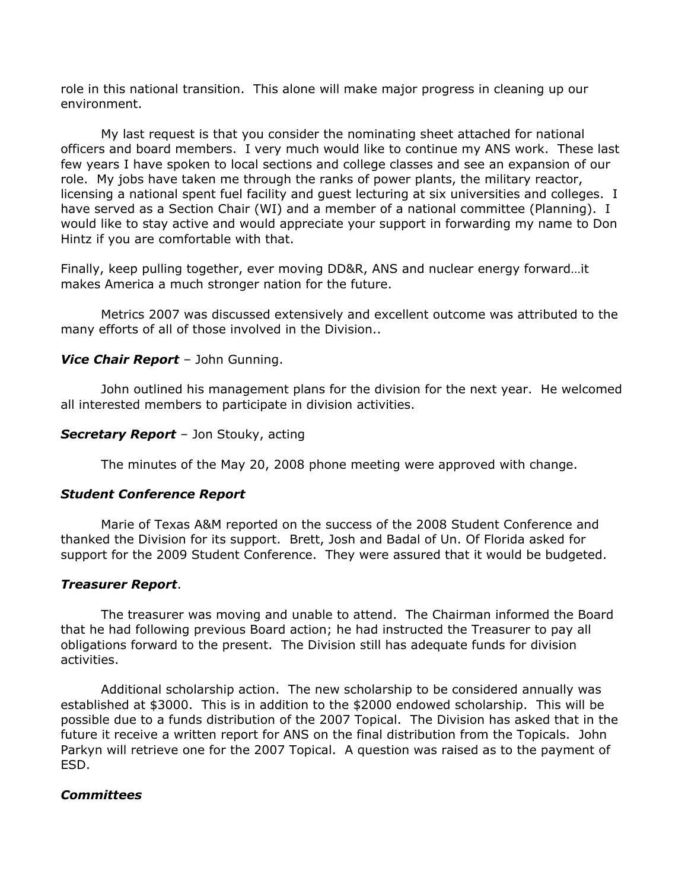role in this national transition. This alone will make major progress in cleaning up our environment.

My last request is that you consider the nominating sheet attached for national officers and board members. I very much would like to continue my ANS work. These last few years I have spoken to local sections and college classes and see an expansion of our role. My jobs have taken me through the ranks of power plants, the military reactor, licensing a national spent fuel facility and guest lecturing at six universities and colleges. I have served as a Section Chair (WI) and a member of a national committee (Planning). I would like to stay active and would appreciate your support in forwarding my name to Don Hintz if you are comfortable with that.

Finally, keep pulling together, ever moving DD&R, ANS and nuclear energy forward…it makes America a much stronger nation for the future.

Metrics 2007 was discussed extensively and excellent outcome was attributed to the many efforts of all of those involved in the Division..

### *Vice Chair Report* – John Gunning.

John outlined his management plans for the division for the next year. He welcomed all interested members to participate in division activities.

#### *Secretary Report* – Jon Stouky, acting

The minutes of the May 20, 2008 phone meeting were approved with change.

#### *Student Conference Report*

Marie of Texas A&M reported on the success of the 2008 Student Conference and thanked the Division for its support. Brett, Josh and Badal of Un. Of Florida asked for support for the 2009 Student Conference. They were assured that it would be budgeted.

#### *Treasurer Report*.

The treasurer was moving and unable to attend. The Chairman informed the Board that he had following previous Board action; he had instructed the Treasurer to pay all obligations forward to the present. The Division still has adequate funds for division activities.

Additional scholarship action. The new scholarship to be considered annually was established at \$3000. This is in addition to the \$2000 endowed scholarship. This will be possible due to a funds distribution of the 2007 Topical. The Division has asked that in the future it receive a written report for ANS on the final distribution from the Topicals. John Parkyn will retrieve one for the 2007 Topical. A question was raised as to the payment of ESD.

### *Committees*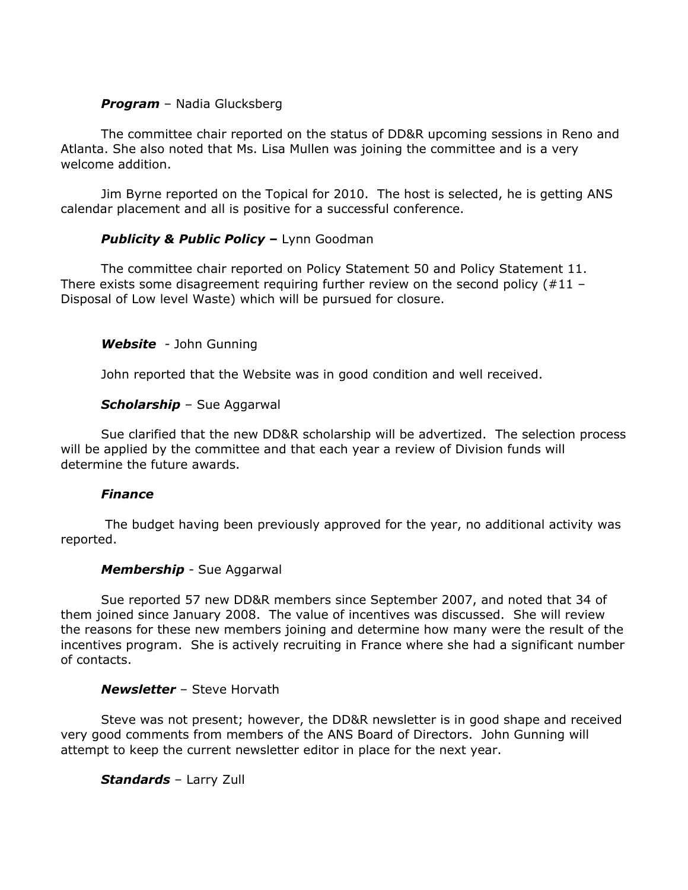## *Program* – Nadia Glucksberg

The committee chair reported on the status of DD&R upcoming sessions in Reno and Atlanta. She also noted that Ms. Lisa Mullen was joining the committee and is a very welcome addition.

Jim Byrne reported on the Topical for 2010. The host is selected, he is getting ANS calendar placement and all is positive for a successful conference.

# **Publicity & Public Policy - Lynn Goodman**

The committee chair reported on Policy Statement 50 and Policy Statement 11. There exists some disagreement requiring further review on the second policy  $(#11 -$ Disposal of Low level Waste) which will be pursued for closure.

# *Website -* John Gunning

John reported that the Website was in good condition and well received.

# *Scholarship* – Sue Aggarwal

Sue clarified that the new DD&R scholarship will be advertized. The selection process will be applied by the committee and that each year a review of Division funds will determine the future awards.

### *Finance*

The budget having been previously approved for the year, no additional activity was reported.

# *Membership* - Sue Aggarwal

Sue reported 57 new DD&R members since September 2007, and noted that 34 of them joined since January 2008. The value of incentives was discussed. She will review the reasons for these new members joining and determine how many were the result of the incentives program. She is actively recruiting in France where she had a significant number of contacts.

# *Newsletter* – Steve Horvath

Steve was not present; however, the DD&R newsletter is in good shape and received very good comments from members of the ANS Board of Directors. John Gunning will attempt to keep the current newsletter editor in place for the next year.

# *Standards* – Larry Zull